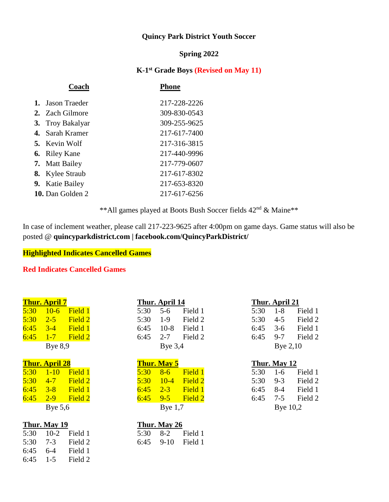# **Quincy Park District Youth Soccer**

#### **Spring 2022**

#### **K-1 st Grade Boys (Revised on May 11)**

| Coach                  | Phone        |
|------------------------|--------------|
| 1. Jason Traeder       | 217-228-2226 |
| 2. Zach Gilmore        | 309-830-0543 |
| 3. Troy Bakalyar       | 309-255-9625 |
| 4. Sarah Kramer        | 217-617-7400 |
| <b>5.</b> Kevin Wolf   | 217-316-3815 |
| <b>6.</b> Riley Kane   | 217-440-9996 |
| 7. Matt Bailey         | 217-779-0607 |
| <b>8.</b> Kylee Straub | 217-617-8302 |
| 9. Katie Bailey        | 217-653-8320 |
| 10. Dan Golden 2       | 217-617-6256 |
|                        |              |

\*\*All games played at Boots Bush Soccer fields 42nd & Maine\*\*

In case of inclement weather, please call 217-223-9625 after 4:00pm on game days. Game status will also be posted @ **quincyparkdistrict.com | facebook.com/QuincyParkDistrict/** 

## **Highlighted Indicates Cancelled Games**

### **Red Indicates Cancelled Games**

|      | <u>іши. Аргіі /</u>   |         |      | тиш. дрін 14       |         |      | ппин. Арни <i>4</i> п |         |
|------|-----------------------|---------|------|--------------------|---------|------|-----------------------|---------|
| 5:30 | $10-6$                | Field 1 | 5:30 | $5 - 6$            | Field 1 | 5:30 | $1 - 8$               | Field 1 |
| 5:30 | $2 - 5$               | Field 2 | 5:30 | $1-9$              | Field 2 | 5:30 | $4 - 5$               | Field 2 |
| 6:45 | $3 - 4$               | Field 1 | 6:45 | $10-8$             | Field 1 | 6:45 | $3-6$                 | Field 1 |
| 6:45 | $1 - 7$               | Field 2 | 6:45 | $2 - 7$            | Field 2 | 6:45 | $9 - 7$               | Field 2 |
|      | Bye $8,9$             |         |      | Bye $3,4$          |         |      | Bye $2,10$            |         |
|      | <b>Thur. April 28</b> |         |      | <b>Thur. May 5</b> |         |      | Thur. May 12          |         |
| 5:30 | $1 - 10$              | Field 1 | 5:30 | $8 - 6$            | Field 1 | 5:30 | $1-6$                 | Field 1 |
| 5:30 | $4 - 7$               | Field 2 | 5:30 | $10 - 4$           | Field 2 | 5:30 | $9 - 3$               | Field 2 |
| 6:45 | $3 - 8$               | Field 1 | 6:45 | $2 - 3$            | Field 1 | 6:45 | $8 - 4$               | Field 1 |
| 6:45 | $2 - 9$               | Field 2 | 6:45 | $9 - 5$            | Field 2 | 6:45 | $7 - 5$               | Field 2 |
|      | Bye $5,6$             |         |      | Bye $1,7$          |         |      | Bye $10,2$            |         |
|      |                       |         |      |                    |         |      |                       |         |

| Thur. May 19 |                                 |                  | Thur. May 26 |
|--------------|---------------------------------|------------------|--------------|
|              | $5:30 \quad 10-2 \quad$ Field 1 | $5:30 \quad 8-2$ |              |
|              | $5:30$ $7-3$ Field 2            | $6:45$ 9-10      |              |
| 6:45 6-4     | Field 1                         |                  |              |
|              | 6:45 $1-5$ Field 2              |                  |              |

| <b>Thur. April 7</b> |                      | Thur. April 14 |                    | Thur. April 21   |
|----------------------|----------------------|----------------|--------------------|------------------|
|                      | 5:30 10-6 Field 1    | 5:30 5-6       | Field 1            | $5:30$ 1-8 F     |
|                      | $5:30$ $2-5$ Field 2 |                | $5:30$ 1-9 Field 2 | $5:30 \quad 4-5$ |
|                      | $6:45$ $3-4$ Field 1 |                | 6:45 10-8 Field 1  | 6:45 $3-6$ F     |
|                      | $6:45$ $1-7$ Field 2 |                | 6:45 2-7 Field 2   | 6:45 $9-7$ F     |
| Bye $8.9$            |                      | Bye $3,4$      |                    | Bye $2,10$       |

|      | Thur. May 5 |         |
|------|-------------|---------|
| 5:30 | $8-6$       | Field 1 |
| 5:30 | $10 - 4$    | Field 2 |
| 6:45 | $2 - 3$     | Field 1 |
| 6:45 | $9 - 5$     | Field 2 |
|      | Bye $1,7$   |         |

| Thur. May 19 |                   |  | Thur. May 26 |                     |
|--------------|-------------------|--|--------------|---------------------|
|              | 5:30 10-2 Field 1 |  |              | 5:30 8-2 Field 1    |
|              | 5:30 7-3 Field 2  |  |              | $6:45$ 9-10 Field 1 |

|      | Thur. April 21 |         |
|------|----------------|---------|
| 5:30 | 1-8            | Field 1 |
| 5:30 | 4-5            | Field 2 |
| 6:45 | $3-6$          | Field 1 |
| 6:45 | $9 - 7$        | Field 2 |
|      | Bye 2,10       |         |

# **Thur. May 12** Bye  $10,2$